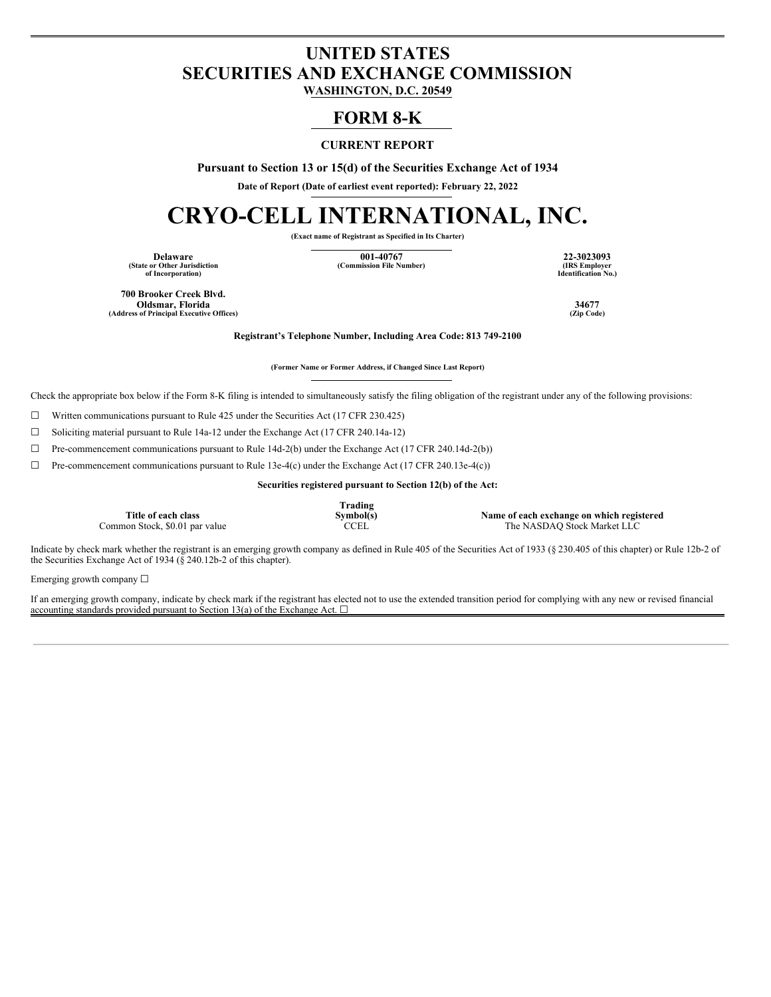# **UNITED STATES SECURITIES AND EXCHANGE COMMISSION**

**WASHINGTON, D.C. 20549**

# **FORM 8-K**

# **CURRENT REPORT**

**Pursuant to Section 13 or 15(d) of the Securities Exchange Act of 1934**

**Date of Report (Date of earliest event reported): February 22, 2022**

# **CRYO-CELL INTERNATIONAL, INC.**

**(Exact name of Registrant as Specified in Its Charter)**

**Delaware 001-40767 22-3023093 (State or Other Jurisdiction of Incorporation)**

 $(Commission File Number)$ 

**Identification No.)**

**700 Brooker Creek Blvd. Oldsmar, Florida 34677 (Address of Principal Executive Offices)** 

**Registrant's Telephone Number, Including Area Code: 813 749-2100**

**(Former Name or Former Address, if Changed Since Last Report)**

Check the appropriate box below if the Form 8-K filing is intended to simultaneously satisfy the filing obligation of the registrant under any of the following provisions:

☐ Written communications pursuant to Rule 425 under the Securities Act (17 CFR 230.425)

 $\Box$  Soliciting material pursuant to Rule 14a-12 under the Exchange Act (17 CFR 240.14a-12)

☐ Pre-commencement communications pursuant to Rule 14d-2(b) under the Exchange Act (17 CFR 240.14d-2(b))

 $\Box$  Pre-commencement communications pursuant to Rule 13e-4(c) under the Exchange Act (17 CFR 240.13e-4(c))

**Securities registered pursuant to Section 12(b) of the Act:**

|                                | Trading     |                                           |
|--------------------------------|-------------|-------------------------------------------|
| Title of each class            | Symbol(s)   | Name of each exchange on which registered |
| Common Stock, \$0.01 par value | <b>CCEL</b> | The NASDAQ Stock Market LLC               |

Indicate by check mark whether the registrant is an emerging growth company as defined in Rule 405 of the Securities Act of 1933 (§ 230.405 of this chapter) or Rule 12b-2 of the Securities Exchange Act of 1934 ( $\frac{8}{9}$  240.12b-2 of this chapter).

Emerging growth company ☐

If an emerging growth company, indicate by check mark if the registrant has elected not to use the extended transition period for complying with any new or revised financial accounting standards provided pursuant to Section 13(a) of the Exchange Act.  $\Box$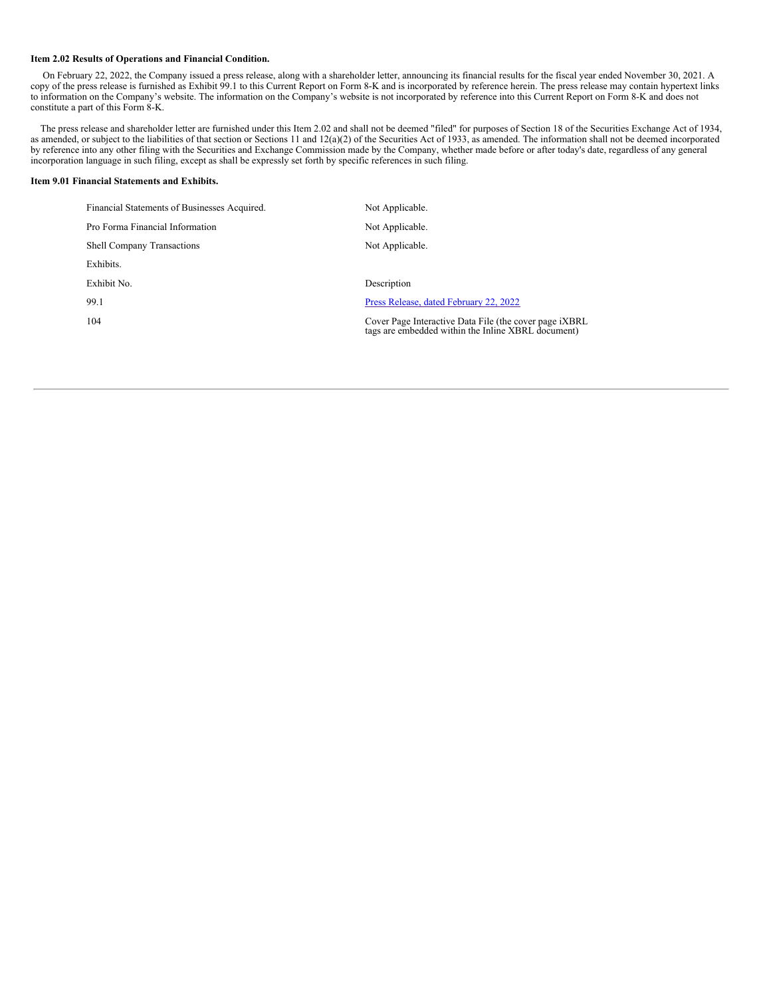#### **Item 2.02 Results of Operations and Financial Condition.**

On February 22, 2022, the Company issued a press release, along with a shareholder letter, announcing its financial results for the fiscal year ended November 30, 2021. A copy of the press release is furnished as Exhibit 99.1 to this Current Report on Form 8-K and is incorporated by reference herein. The press release may contain hypertext links to information on the Company's website. The information on the Company's website is not incorporated by reference into this Current Report on Form 8-K and does not constitute a part of this Form 8-K.

The press release and shareholder letter are furnished under this Item 2.02 and shall not be deemed "filed" for purposes of Section 18 of the Securities Exchange Act of 1934, as amended, or subject to the liabilities of that section or Sections 11 and 12(a)(2) of the Securities Act of 1933, as amended. The information shall not be deemed incorporated by reference into any other filing with the Securities and Exchange Commission made by the Company, whether made before or after today's date, regardless of any general incorporation language in such filing, except as shall be expressly set forth by specific references in such filing.

## **Item 9.01 Financial Statements and Exhibits.**

| Financial Statements of Businesses Acquired. | Not Applicable.                                                                                                       |
|----------------------------------------------|-----------------------------------------------------------------------------------------------------------------------|
| Pro Forma Financial Information              | Not Applicable.                                                                                                       |
| <b>Shell Company Transactions</b>            | Not Applicable.                                                                                                       |
| Exhibits.                                    |                                                                                                                       |
| Exhibit No.                                  | Description                                                                                                           |
| 99.1                                         | Press Release, dated February 22, 2022                                                                                |
| 104                                          | Cover Page Interactive Data File (the cover page <i>iXBRL</i> )<br>tags are embedded within the Inline XBRL document) |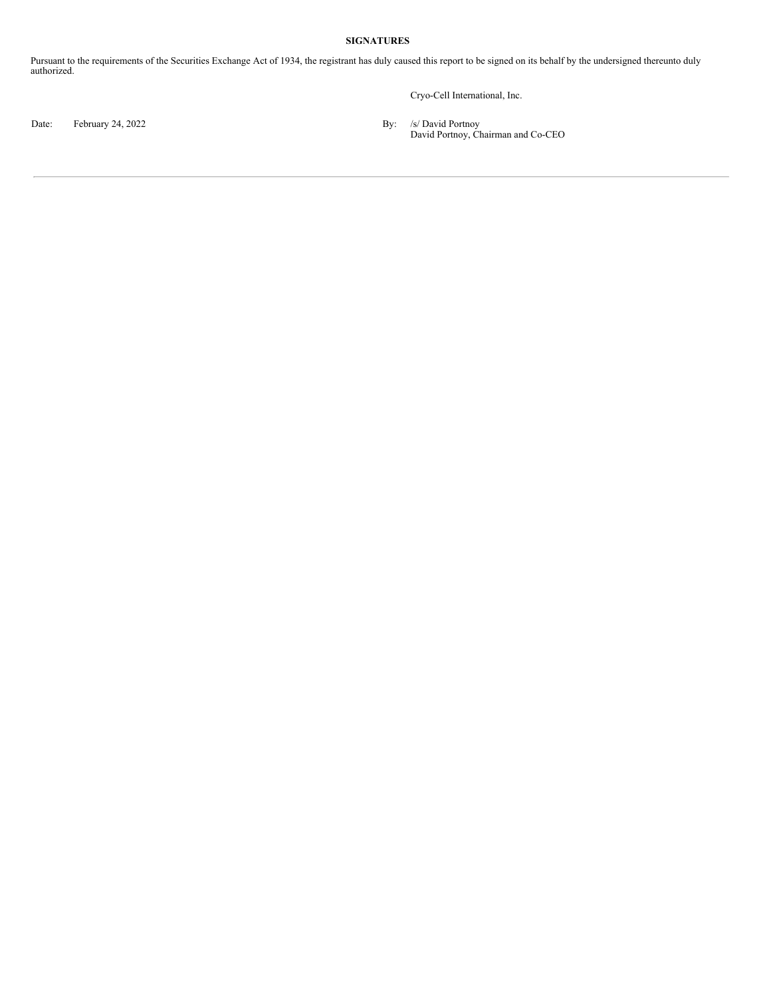# **SIGNATURES**

Pursuant to the requirements of the Securities Exchange Act of 1934, the registrant has duly caused this report to be signed on its behalf by the undersigned thereunto duly authorized.

Cryo-Cell International, Inc.

Date: February 24, 2022 **By:** /s/ David Portnoy

David Portnoy, Chairman and Co-CEO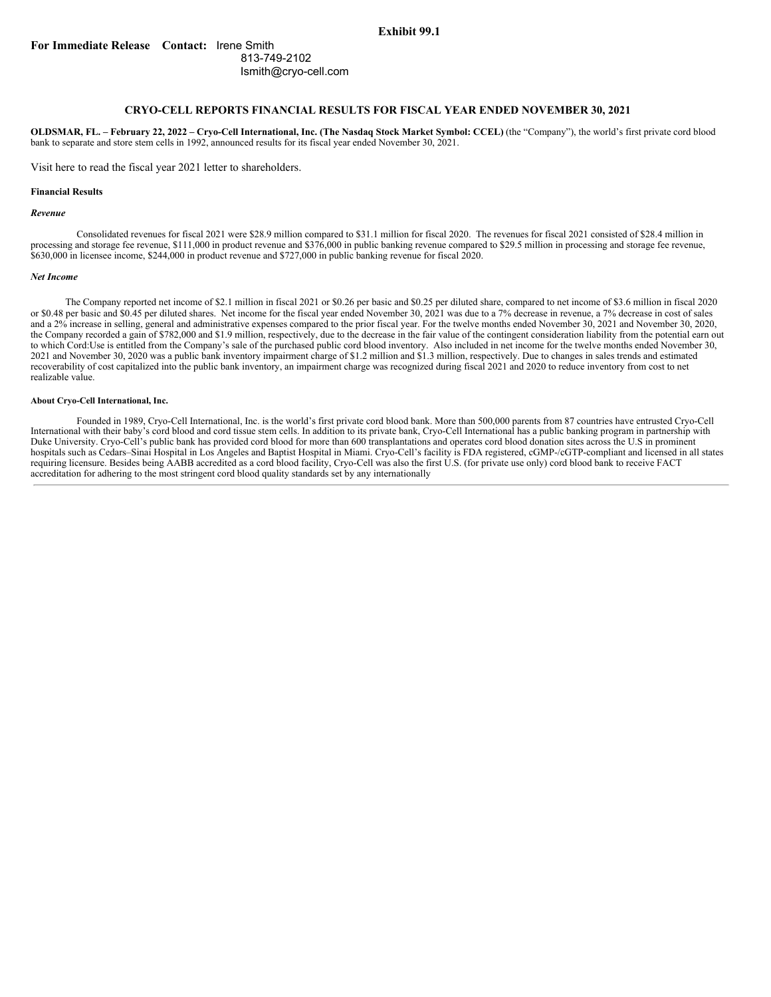## **Exhibit 99.1**

# **For Immediate Release Contact:** Irene Smith 813-749-2102 Ismith@cryo-cell.com

# **CRYO-CELL REPORTS FINANCIAL RESULTS FOR FISCAL YEAR ENDED NOVEMBER 30, 2021**

OLDSMAR, FL. - February 22, 2022 - Cryo-Cell International, Inc. (The Nasdaq Stock Market Symbol: CCEL) (the "Company"), the world's first private cord blood bank to separate and store stem cells in 1992, announced results for its fiscal year ended November 30, 2021.

Visit here to read the fiscal year 2021 letter to shareholders.

### **Financial Results**

#### *Revenue*

Consolidated revenues for fiscal 2021 were \$28.9 million compared to \$31.1 million for fiscal 2020. The revenues for fiscal 2021 consisted of \$28.4 million in processing and storage fee revenue, \$111,000 in product revenue and \$376,000 in public banking revenue compared to \$29.5 million in processing and storage fee revenue, \$630,000 in licensee income, \$244,000 in product revenue and \$727,000 in public banking revenue for fiscal 2020.

#### *Net Income*

The Company reported net income of \$2.1 million in fiscal 2021 or \$0.26 per basic and \$0.25 per diluted share, compared to net income of \$3.6 million in fiscal 2020 or \$0.48 per basic and \$0.45 per diluted shares. Net income for the fiscal year ended November 30, 2021 was due to a 7% decrease in revenue, a 7% decrease in cost of sales and a 2% increase in selling, general and administrative expenses compared to the prior fiscal year. For the twelve months ended November 30, 2021 and November 30, 2020, the Company recorded a gain of \$782,000 and \$1.9 million, respectively, due to the decrease in the fair value of the contingent consideration liability from the potential earn out to which Cord:Use is entitled from the Company's sale of the purchased public cord blood inventory. Also included in net income for the twelve months ended November 30, 2021 and November 30, 2020 was a public bank inventory impairment charge of \$1.2 million and \$1.3 million, respectively. Due to changes in sales trends and estimated recoverability of cost capitalized into the public bank inventory, an impairment charge was recognized during fiscal 2021 and 2020 to reduce inventory from cost to net realizable value.

#### **About Cryo-Cell International, Inc.**

Founded in 1989, Cryo-Cell International, Inc. is the world's first private cord blood bank. More than 500,000 parents from 87 countries have entrusted Cryo-Cell International with their baby's cord blood and cord tissue stem cells. In addition to its private bank, Cryo-Cell International has a public banking program in partnership with Duke University. Cryo-Cell's public bank has provided cord blood for more than 600 transplantations and operates cord blood donation sites across the U.S in prominent hospitals such as Cedars–Sinai Hospital in Los Angeles and Baptist Hospital in Miami. Cryo-Cell's facility is FDA registered, cGMP-/cGTP-compliant and licensed in all states requiring licensure. Besides being AABB accredited as a cord blood facility, Cryo-Cell was also the first U.S. (for private use only) cord blood bank to receive FACT accreditation for adhering to the most stringent cord blood quality standards set by any internationally